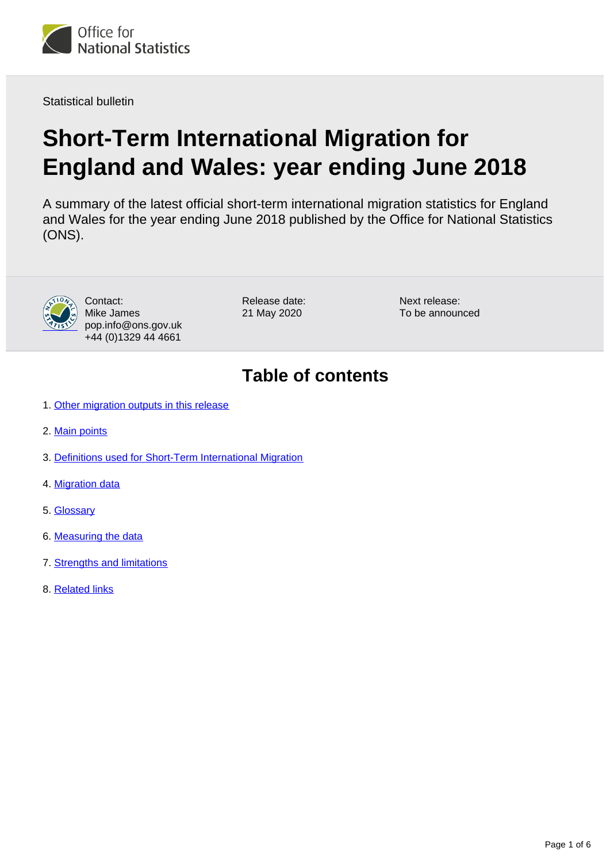

Statistical bulletin

# **Short-Term International Migration for England and Wales: year ending June 2018**

A summary of the latest official short-term international migration statistics for England and Wales for the year ending June 2018 published by the Office for National Statistics (ONS).



Contact: Mike James pop.info@ons.gov.uk +44 (0)1329 44 4661

Release date: 21 May 2020

Next release: To be announced

### **Table of contents**

- 1. [Other migration outputs in this release](#page-1-0)
- 2. [Main points](#page-1-1)
- 3. [Definitions used for Short-Term International Migration](#page-2-0)
- 4. [Migration data](#page-2-1)
- 5. [Glossary](#page-2-2)
- 6. [Measuring the data](#page-2-3)
- 7. [Strengths and limitations](#page-4-0)
- 8. [Related links](#page-5-0)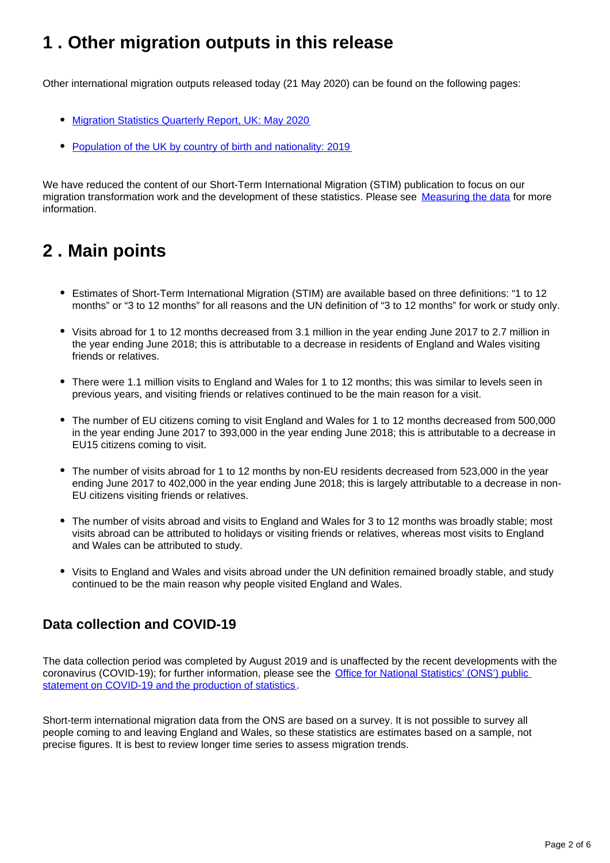### <span id="page-1-0"></span>**1 . Other migration outputs in this release**

Other international migration outputs released today (21 May 2020) can be found on the following pages:

- [Migration Statistics Quarterly Report, UK: May 2020](https://www.ons.gov.uk/peoplepopulationandcommunity/populationandmigration/internationalmigration/bulletins/migrationstatisticsquarterlyreport/may2020)
- [Population of the UK by country of birth and nationality: 2019](https://www.ons.gov.uk/peoplepopulationandcommunity/populationandmigration/internationalmigration/bulletins/ukpopulationbycountryofbirthandnationality/2019)

We have reduced the content of our Short-Term International Migration (STIM) publication to focus on our migration transformation work and the development of these statistics. Please see [Measuring the data](https://www.ons.gov.uk/peoplepopulationandcommunity/populationandmigration/internationalmigration/bulletins/shortterminternationalmigrationannualreport/yearendingjune2018#measuring-the-data) for more information.

# <span id="page-1-1"></span>**2 . Main points**

- Estimates of Short-Term International Migration (STIM) are available based on three definitions: "1 to 12 months" or "3 to 12 months" for all reasons and the UN definition of "3 to 12 months" for work or study only.
- Visits abroad for 1 to 12 months decreased from 3.1 million in the year ending June 2017 to 2.7 million in the year ending June 2018; this is attributable to a decrease in residents of England and Wales visiting friends or relatives.
- There were 1.1 million visits to England and Wales for 1 to 12 months; this was similar to levels seen in previous years, and visiting friends or relatives continued to be the main reason for a visit.
- The number of EU citizens coming to visit England and Wales for 1 to 12 months decreased from 500,000 in the year ending June 2017 to 393,000 in the year ending June 2018; this is attributable to a decrease in EU15 citizens coming to visit.
- The number of visits abroad for 1 to 12 months by non-EU residents decreased from 523,000 in the year ending June 2017 to 402,000 in the year ending June 2018; this is largely attributable to a decrease in non-EU citizens visiting friends or relatives.
- The number of visits abroad and visits to England and Wales for 3 to 12 months was broadly stable; most visits abroad can be attributed to holidays or visiting friends or relatives, whereas most visits to England and Wales can be attributed to study.
- Visits to England and Wales and visits abroad under the UN definition remained broadly stable, and study continued to be the main reason why people visited England and Wales.

#### **Data collection and COVID-19**

The data collection period was completed by August 2019 and is unaffected by the recent developments with the coronavirus (COVID-19); for further information, please see the [Office for National Statistics' \(ONS'\) public](https://www.ons.gov.uk/news/statementsandletters/covid19andtheproductionofstatistics)  [statement on COVID-19 and the production of statistics](https://www.ons.gov.uk/news/statementsandletters/covid19andtheproductionofstatistics).

Short-term international migration data from the ONS are based on a survey. It is not possible to survey all people coming to and leaving England and Wales, so these statistics are estimates based on a sample, not precise figures. It is best to review longer time series to assess migration trends.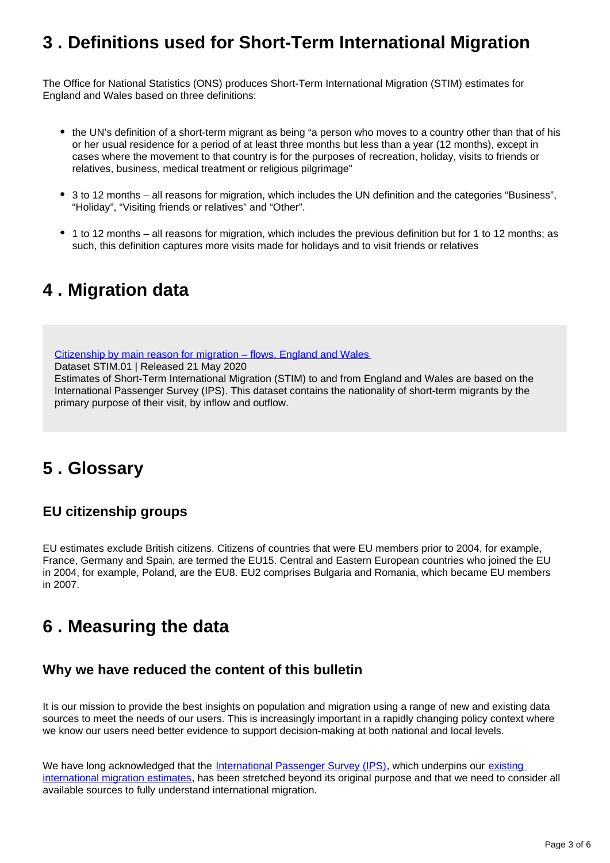### <span id="page-2-0"></span>**3 . Definitions used for Short-Term International Migration**

The Office for National Statistics (ONS) produces Short-Term International Migration (STIM) estimates for England and Wales based on three definitions:

- the UN's definition of a short-term migrant as being "a person who moves to a country other than that of his or her usual residence for a period of at least three months but less than a year (12 months), except in cases where the movement to that country is for the purposes of recreation, holiday, visits to friends or relatives, business, medical treatment or religious pilgrimage"
- 3 to 12 months all reasons for migration, which includes the UN definition and the categories "Business", "Holiday", "Visiting friends or relatives" and "Other".
- 1 to 12 months all reasons for migration, which includes the previous definition but for 1 to 12 months; as such, this definition captures more visits made for holidays and to visit friends or relatives

### <span id="page-2-1"></span>**4 . Migration data**

[Citizenship by main reason for migration – flows, England and Wales](https://www.ons.gov.uk/peoplepopulationandcommunity/populationandmigration/internationalmigration/datasets/shorttermmigrationestimatesforenglandandwalesstim01citizenshipbymainreasonformigrationflows)

Dataset STIM.01 | Released 21 May 2020

Estimates of Short-Term International Migration (STIM) to and from England and Wales are based on the International Passenger Survey (IPS). This dataset contains the nationality of short-term migrants by the primary purpose of their visit, by inflow and outflow.

# <span id="page-2-2"></span>**5 . Glossary**

#### **EU citizenship groups**

EU estimates exclude British citizens. Citizens of countries that were EU members prior to 2004, for example, France, Germany and Spain, are termed the EU15. Central and Eastern European countries who joined the EU in 2004, for example, Poland, are the EU8. EU2 comprises Bulgaria and Romania, which became EU members in 2007.

# <span id="page-2-3"></span>**6 . Measuring the data**

#### **Why we have reduced the content of this bulletin**

It is our mission to provide the best insights on population and migration using a range of new and existing data sources to meet the needs of our users. This is increasingly important in a rapidly changing policy context where we know our users need better evidence to support decision-making at both national and local levels.

We have long acknowledged that the [International Passenger Survey \(IPS\),](https://www.ons.gov.uk/surveys/informationforhouseholdsandindividuals/householdandindividualsurveys/internationalpassengersurvey) which underpins our existing [international migration estimates](https://www.ons.gov.uk/peoplepopulationandcommunity/populationandmigration/internationalmigration/bulletins/migrationstatisticsquarterlyreport/previousReleases), has been stretched beyond its original purpose and that we need to consider all available sources to fully understand international migration.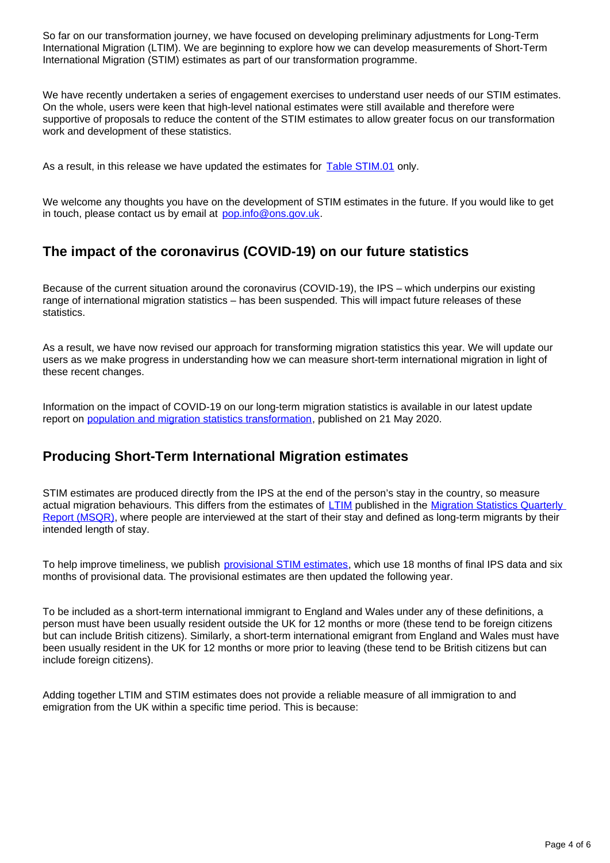So far on our transformation journey, we have focused on developing preliminary adjustments for Long-Term International Migration (LTIM). We are beginning to explore how we can develop measurements of Short-Term International Migration (STIM) estimates as part of our transformation programme.

We have recently undertaken a series of engagement exercises to understand user needs of our STIM estimates. On the whole, users were keen that high-level national estimates were still available and therefore were supportive of proposals to reduce the content of the STIM estimates to allow greater focus on our transformation work and development of these statistics.

As a result, in this release we have updated the estimates for [Table STIM.01](https://www.ons.gov.uk/peoplepopulationandcommunity/populationandmigration/internationalmigration/datasets/shorttermmigrationestimatesforenglandandwalesstim01citizenshipbymainreasonformigrationflows) only.

We welcome any thoughts you have on the development of STIM estimates in the future. If you would like to get in touch, please contact us by email at pop.info@ons.gov.uk.

#### **The impact of the coronavirus (COVID-19) on our future statistics**

Because of the current situation around the coronavirus (COVID-19), the IPS – which underpins our existing range of international migration statistics – has been suspended. This will impact future releases of these statistics.

As a result, we have now revised our approach for transforming migration statistics this year. We will update our users as we make progress in understanding how we can measure short-term international migration in light of these recent changes.

Information on the impact of COVID-19 on our long-term migration statistics is available in our latest update report on [population and migration statistics transformation,](https://www.ons.gov.uk/peoplepopulationandcommunity/populationandmigration/internationalmigration/articles/transformationofthepopulationandmigrationstatisticssystemoverview/2019-06-21) published on 21 May 2020.

#### **Producing Short-Term International Migration estimates**

STIM estimates are produced directly from the IPS at the end of the person's stay in the country, so measure actual migration behaviours. This differs from the estimates of [LTIM](https://www.ons.gov.uk/peoplepopulationandcommunity/populationandmigration/internationalmigration/datasets/migrationstatisticsquarterlyreportprovisionallongterminternationalmigrationltimestimates) published in the Migration Statistics Quarterly [Report \(MSQR\),](https://www.ons.gov.uk/peoplepopulationandcommunity/populationandmigration/internationalmigration/bulletins/migrationstatisticsquarterlyreport/latest) where people are interviewed at the start of their stay and defined as long-term migrants by their intended length of stay.

To help improve timeliness, we publish [provisional STIM estimates](https://www.ons.gov.uk/peoplepopulationandcommunity/populationandmigration/internationalmigration/methodologies/methodologytoestimateshortterminternationalmigrationforenglandandwales), which use 18 months of final IPS data and six months of provisional data. The provisional estimates are then updated the following year.

To be included as a short-term international immigrant to England and Wales under any of these definitions, a person must have been usually resident outside the UK for 12 months or more (these tend to be foreign citizens but can include British citizens). Similarly, a short-term international emigrant from England and Wales must have been usually resident in the UK for 12 months or more prior to leaving (these tend to be British citizens but can include foreign citizens).

Adding together LTIM and STIM estimates does not provide a reliable measure of all immigration to and emigration from the UK within a specific time period. This is because: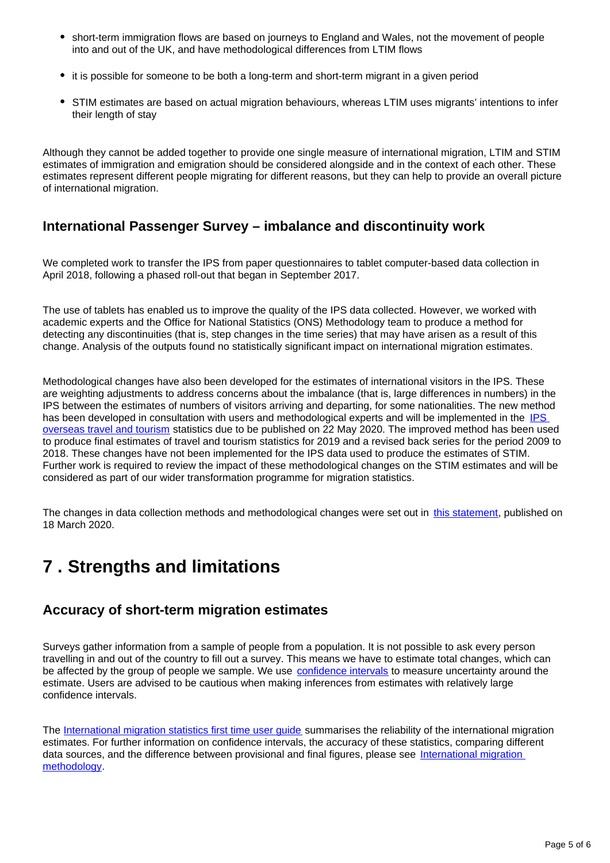- short-term immigration flows are based on journeys to England and Wales, not the movement of people into and out of the UK, and have methodological differences from LTIM flows
- it is possible for someone to be both a long-term and short-term migrant in a given period
- STIM estimates are based on actual migration behaviours, whereas LTIM uses migrants' intentions to infer their length of stay

Although they cannot be added together to provide one single measure of international migration, LTIM and STIM estimates of immigration and emigration should be considered alongside and in the context of each other. These estimates represent different people migrating for different reasons, but they can help to provide an overall picture of international migration.

#### **International Passenger Survey – imbalance and discontinuity work**

We completed work to transfer the IPS from paper questionnaires to tablet computer-based data collection in April 2018, following a phased roll-out that began in September 2017.

The use of tablets has enabled us to improve the quality of the IPS data collected. However, we worked with academic experts and the Office for National Statistics (ONS) Methodology team to produce a method for detecting any discontinuities (that is, step changes in the time series) that may have arisen as a result of this change. Analysis of the outputs found no statistically significant impact on international migration estimates.

Methodological changes have also been developed for the estimates of international visitors in the IPS. These are weighting adjustments to address concerns about the imbalance (that is, large differences in numbers) in the IPS between the estimates of numbers of visitors arriving and departing, for some nationalities. The new method has been developed in consultation with users and methodological experts and will be implemented in the IPS [overseas travel and tourism](https://www.ons.gov.uk/peoplepopulationandcommunity/leisureandtourism/bulletins/overseastravelandtourism/previousReleases) statistics due to be published on 22 May 2020. The improved method has been used to produce final estimates of travel and tourism statistics for 2019 and a revised back series for the period 2009 to 2018. These changes have not been implemented for the IPS data used to produce the estimates of STIM. Further work is required to review the impact of these methodological changes on the STIM estimates and will be considered as part of our wider transformation programme for migration statistics.

The changes in data collection methods and methodological changes were set out in [this statement](https://www.ons.gov.uk/peoplepopulationandcommunity/leisureandtourism/methodologies/upcomingmethodologicalimprovementstooverseastravelandtourismestimates), published on 18 March 2020.

### <span id="page-4-0"></span>**7 . Strengths and limitations**

#### **Accuracy of short-term migration estimates**

Surveys gather information from a sample of people from a population. It is not possible to ask every person travelling in and out of the country to fill out a survey. This means we have to estimate total changes, which can be affected by the group of people we sample. We use [confidence intervals](https://www.ons.gov.uk/methodology/methodologytopicsandstatisticalconcepts/uncertaintyandhowwemeasureit#confidence-interval) to measure uncertainty around the estimate. Users are advised to be cautious when making inferences from estimates with relatively large confidence intervals.

The [International migration statistics first time user guide](https://www.ons.gov.uk/peoplepopulationandcommunity/populationandmigration/internationalmigration/methodologies/migrationstatisticsfirsttimeuserguideglossaryandlistofproducts) summarises the reliability of the international migration estimates. For further information on confidence intervals, the accuracy of these statistics, comparing different data sources, and the difference between provisional and final figures, please see International migration [methodology.](https://www.ons.gov.uk/peoplepopulationandcommunity/populationandmigration/internationalmigration/methodologies/internationalmigrationmethodology)